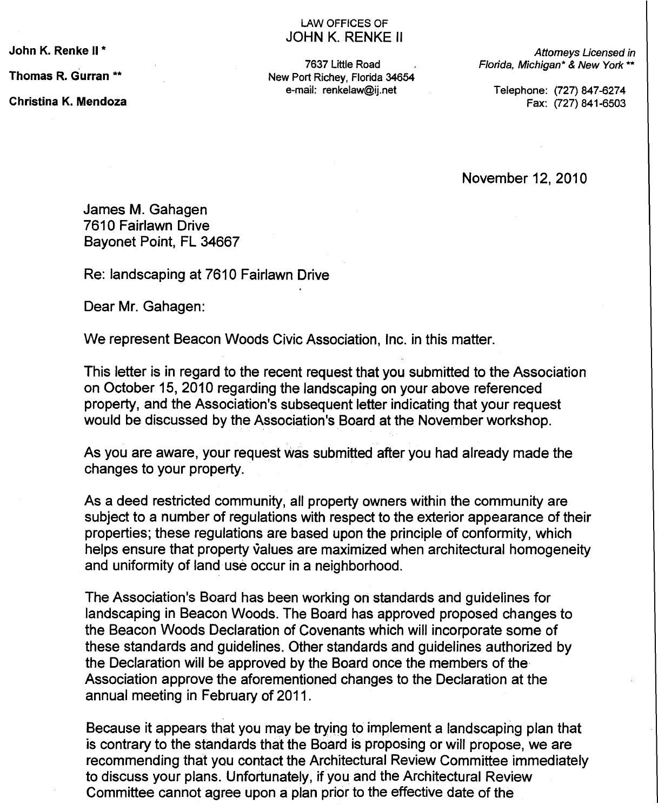John K. Renke II \*

Thomas R. Gurran \*\*

Christina K. Mendoza

## LAW OFFICES OF JOHN K. RENKE II

7637 Little Road New Port Richey, Florida 34654 e-mail: renkelaw@ij.net

Attomeys Licensed in Florida, Michigan\* & New York \*\*

Telephone: (727) 847-6274 Fax: (727) 841-6503

November 12, 2010

James M. Gahagen 7610 Fairlawn Drive Bayonet Point, FL 34667

Re: landscaping at 7610 Fairlawn Drive

Dear Mr. Gahagen:

We represent Beacon Woods Civic Association, Inc. in this matter.

This letter is in regard to the recent request that you submitted to the Association on October 15, 2010 regarding the landscaping on your above referenced property, and the Association's subsequent letter indicating that your request would be discussed by the Association's Board at the November workshop.

As you are aware, your request was submitted after you had already made the changes to your property.

As a deed restricted community, all property owners within the community are subject to a number of regulations with respect to the exterior appearance of their properties; these regulations are based upon the principle of conformity, which helps ensure that property values are maximized when architectural homogeneity and uniformity of land use occur in a neighborhood.

The Association's Board has been working on standards and guidelines for landscaping in Beacon Woods. The Board has approved proposed changes to the Beacon Woods Declaration of Covenants which will incorporate some of these standards and guidelines. Other standards and guidelines authorized by the Declaration will be approved by the Board once the members of the Association approve the aforementioned changes to the Declaration at the annual meeting in February of 2011.

Because it appears that you may be trying to implement a landscaping plan that is contrary to the standards that the Board is proposing or will propose, we are recommending that you contact the Architectural Review Committee immediately to discuss your plans. Unfortunately, if you and the Architectural Review Committee cannot agree upon a plan prior to the effective date of the